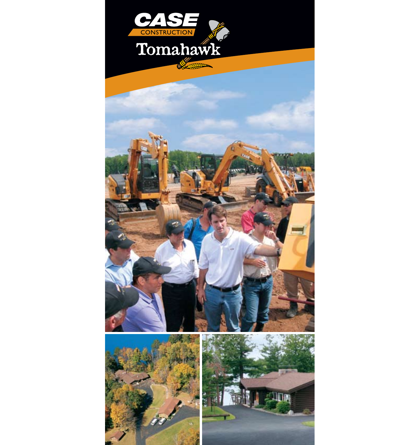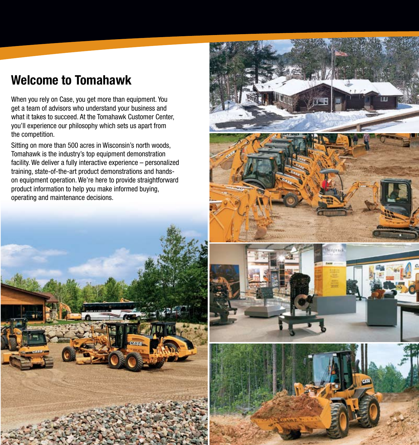# **Welcome to Tomahawk**

When you rely on Case, you get more than equipment. You get a team of advisors who understand your business and what it takes to succeed. At the Tomahawk Customer Center, you'll experience our philosophy which sets us apart from the competition.

Sitting on more than 500 acres in Wisconsin's north woods, Tomahawk is the industry's top equipment demonstration facility. We deliver a fully interactive experience – personalized training, state-of-the-art product demonstrations and handson equipment operation. We're here to provide straightforward product information to help you make informed buying, operating and maintenance decisions.





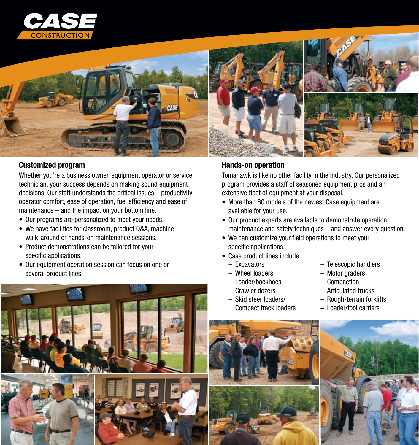



### **Customized program**

Whether you're a business owner, equipment operator or service technician, your success depends on making sound equipment decisions. Our staff understands the critical issues – productivity, operator comfort, ease of operation, fuel efficiency and ease of maintenance – and the impact on your bottom line.

- Our programs are personalized to meet your needs.
- We have facilities for classroom, product Q&A, machine walk-around or hands-on maintenance sessions.
- Product demonstrations can be tailored for your specific applications.
- Our equipment operation session can focus on one or several product lines.



# **Hands-on operation**

Tomahawk is like no other facility in the industry. Our personalized program provides a staff of seasoned equipment pros and an extensive fleet of equipment at your disposal.

- More than 60 models of the newest Case equipment are available for your use.
- Our product experts are available to demonstrate operation, maintenance and safety techniques – and answer every question.
- We can customize your field operations to meet your specific applications.
- Case product lines include:
	- Excavators
	- Wheel loaders
	- Loader/backhoes
	- Crawler dozers
	- Skid steer loaders/ Compact track loaders
- Telescopic handlers
- – Motor graders
- Compaction
- Articulated trucks
- Rough-terrain forklifts
- Loader/tool carriers



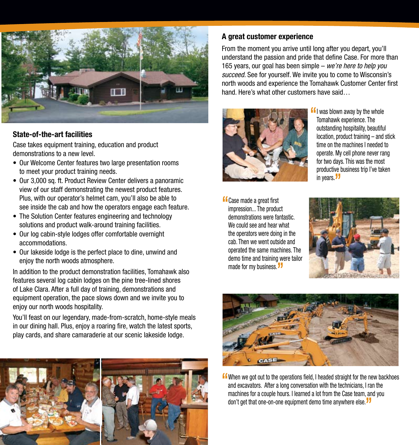

#### **State-of-the-art facilities**

Case takes equipment training, education and product demonstrations to a new level.

- Our Welcome Center features two large presentation rooms to meet your product training needs.
- Our 3,000 sq. ft. Product Review Center delivers a panoramic view of our staff demonstrating the newest product features. Plus, with our operator's helmet cam, you'll also be able to see inside the cab and how the operators engage each feature.
- The Solution Center features engineering and technology solutions and product walk-around training facilities.
- Our log cabin-style lodges offer comfortable overnight accommodations.
- Our lakeside lodge is the perfect place to dine, unwind and enjoy the north woods atmosphere.

In addition to the product demonstration facilities, Tomahawk also features several log cabin lodges on the pine tree-lined shores of Lake Clara. After a full day of training, demonstrations and equipment operation, the pace slows down and we invite you to enjoy our north woods hospitality.

You'll feast on our legendary, made-from-scratch, home-style meals in our dining hall. Plus, enjoy a roaring fire, watch the latest sports, play cards, and share camaraderie at our scenic lakeside lodge.



# **A great customer experience**

From the moment you arrive until long after you depart, you'll understand the passion and pride that define Case. For more than 165 years, our goal has been simple – *we're here to help you succeed.* See for yourself. We invite you to come to Wisconsin's north woods and experience the Tomahawk Customer Center first hand. Here's what other customers have said…



- **"**I was blown away by the whole Tomahawk experience. The outstanding hospitality, beautiful location, product training – and stick time on the machines I needed to operate. My cell phone never rang for two days. This was the most productive business trip I've taken in years. **"**
- **"**Case made <sup>a</sup> great first impression... The product demonstrations were fantastic. We could see and hear what the operators were doing in the cab. Then we went outside and operated the same machines. The demo time and training were tailor made for my business.**"**





**"**When we got out to the operations field, <sup>I</sup> headed straight for the new backhoes and excavators. After a long conversation with the technicians, I ran the machines for a couple hours. I learned a lot from the Case team, and you don't get that one-on-one equipment demo time anywhere else.**"**